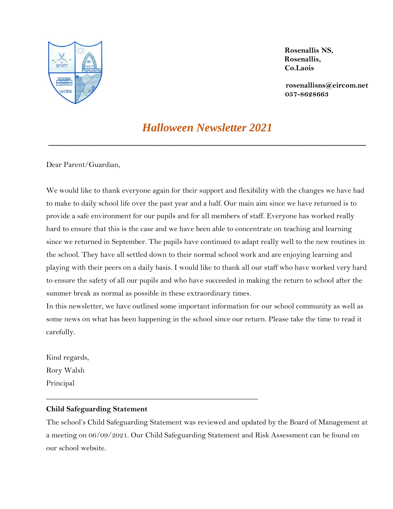

 **Rosenallis NS, Rosenallis, Co.Laois**

**[rosenallisns@eircom.net](mailto:rosenallisns@eircom.net) 057-8628663**

# *Halloween Newsletter 2021*

\_\_\_\_\_\_\_\_\_\_\_\_\_\_\_\_\_\_\_\_\_\_\_\_\_\_\_\_\_\_\_\_\_\_\_\_\_\_\_\_\_\_\_\_\_\_\_\_\_\_\_\_\_\_\_

Dear Parent/Guardian,

We would like to thank everyone again for their support and flexibility with the changes we have had to make to daily school life over the past year and a half. Our main aim since we have returned is to provide a safe environment for our pupils and for all members of staff. Everyone has worked really hard to ensure that this is the case and we have been able to concentrate on teaching and learning since we returned in September. The pupils have continued to adapt really well to the new routines in the school. They have all settled down to their normal school work and are enjoying learning and playing with their peers on a daily basis. I would like to thank all our staff who have worked very hard to ensure the safety of all our pupils and who have succeeded in making the return to school after the summer break as normal as possible in these extraordinary times.

In this newsletter, we have outlined some important information for our school community as well as some news on what has been happening in the school since our return. Please take the time to read it carefully.

Kind regards, Rory Walsh Principal

## **Child Safeguarding Statement**

\_\_\_\_\_\_\_\_\_\_\_\_\_\_\_\_\_\_\_\_\_\_\_\_\_\_\_\_\_\_\_\_\_\_\_\_\_\_\_\_\_\_\_\_\_\_\_\_\_\_\_\_\_\_\_

The school's Child Safeguarding Statement was reviewed and updated by the Board of Management at a meeting on 06/09/2021. Our Child Safeguarding Statement and Risk Assessment can be found on our school website.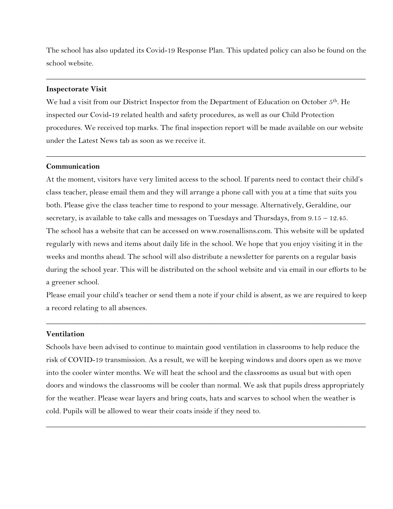The school has also updated its Covid-19 Response Plan. This updated policy can also be found on the school website.

\_\_\_\_\_\_\_\_\_\_\_\_\_\_\_\_\_\_\_\_\_\_\_\_\_\_\_\_\_\_\_\_\_\_\_\_\_\_\_\_\_\_\_\_\_\_\_\_\_\_\_\_\_\_\_\_\_\_\_\_\_\_\_\_\_\_\_\_\_\_\_\_\_\_\_\_\_\_\_\_\_\_\_

### **Inspectorate Visit**

We had a visit from our District Inspector from the Department of Education on October 5<sup>th</sup>. He inspected our Covid-19 related health and safety procedures, as well as our Child Protection procedures. We received top marks. The final inspection report will be made available on our website under the Latest News tab as soon as we receive it.

\_\_\_\_\_\_\_\_\_\_\_\_\_\_\_\_\_\_\_\_\_\_\_\_\_\_\_\_\_\_\_\_\_\_\_\_\_\_\_\_\_\_\_\_\_\_\_\_\_\_\_\_\_\_\_\_\_\_\_\_\_\_\_\_\_\_\_\_\_\_\_\_\_\_\_\_\_\_\_\_\_\_\_

## **Communication**

At the moment, visitors have very limited access to the school. If parents need to contact their child's class teacher, please email them and they will arrange a phone call with you at a time that suits you both. Please give the class teacher time to respond to your message. Alternatively, Geraldine, our secretary, is available to take calls and messages on Tuesdays and Thursdays, from 9.15 – 12.45. The school has a website that can be accessed on www.rosenallisns.com. This website will be updated regularly with news and items about daily life in the school. We hope that you enjoy visiting it in the weeks and months ahead. The school will also distribute a newsletter for parents on a regular basis during the school year. This will be distributed on the school website and via email in our efforts to be a greener school.

Please email your child's teacher or send them a note if your child is absent, as we are required to keep a record relating to all absences.

\_\_\_\_\_\_\_\_\_\_\_\_\_\_\_\_\_\_\_\_\_\_\_\_\_\_\_\_\_\_\_\_\_\_\_\_\_\_\_\_\_\_\_\_\_\_\_\_\_\_\_\_\_\_\_\_\_\_\_\_\_\_\_\_\_\_\_\_\_\_\_\_\_\_\_\_\_\_\_\_\_\_\_

# **Ventilation**

Schools have been advised to continue to maintain good ventilation in classrooms to help reduce the risk of COVID-19 transmission. As a result, we will be keeping windows and doors open as we move into the cooler winter months. We will heat the school and the classrooms as usual but with open doors and windows the classrooms will be cooler than normal. We ask that pupils dress appropriately for the weather. Please wear layers and bring coats, hats and scarves to school when the weather is cold. Pupils will be allowed to wear their coats inside if they need to.

\_\_\_\_\_\_\_\_\_\_\_\_\_\_\_\_\_\_\_\_\_\_\_\_\_\_\_\_\_\_\_\_\_\_\_\_\_\_\_\_\_\_\_\_\_\_\_\_\_\_\_\_\_\_\_\_\_\_\_\_\_\_\_\_\_\_\_\_\_\_\_\_\_\_\_\_\_\_\_\_\_\_\_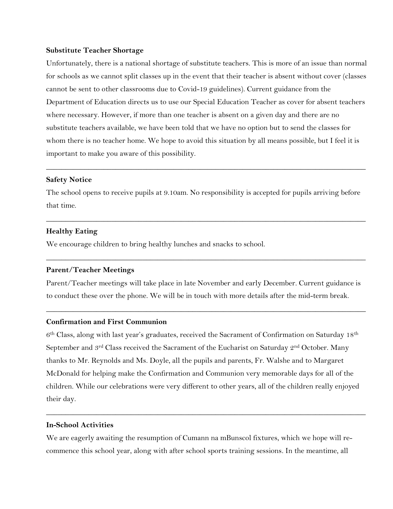#### **Substitute Teacher Shortage**

Unfortunately, there is a national shortage of substitute teachers. This is more of an issue than normal for schools as we cannot split classes up in the event that their teacher is absent without cover (classes cannot be sent to other classrooms due to Covid-19 guidelines). Current guidance from the Department of Education directs us to use our Special Education Teacher as cover for absent teachers where necessary. However, if more than one teacher is absent on a given day and there are no substitute teachers available, we have been told that we have no option but to send the classes for whom there is no teacher home. We hope to avoid this situation by all means possible, but I feel it is important to make you aware of this possibility.

# **Safety Notice**

The school opens to receive pupils at 9.10am. No responsibility is accepted for pupils arriving before that time.

\_\_\_\_\_\_\_\_\_\_\_\_\_\_\_\_\_\_\_\_\_\_\_\_\_\_\_\_\_\_\_\_\_\_\_\_\_\_\_\_\_\_\_\_\_\_\_\_\_\_\_\_\_\_\_\_\_\_\_\_\_\_\_\_\_\_\_\_\_\_\_\_\_\_\_\_\_\_\_\_\_\_\_

\_\_\_\_\_\_\_\_\_\_\_\_\_\_\_\_\_\_\_\_\_\_\_\_\_\_\_\_\_\_\_\_\_\_\_\_\_\_\_\_\_\_\_\_\_\_\_\_\_\_\_\_\_\_\_\_\_\_\_\_\_\_\_\_\_\_\_\_\_\_\_\_\_\_\_\_\_\_\_\_\_\_\_

**\_\_\_\_\_\_\_\_\_\_\_\_\_\_\_\_\_\_\_\_\_\_\_\_\_\_\_\_\_\_\_\_\_\_\_\_\_\_\_\_\_\_\_\_\_\_\_\_\_\_\_\_\_\_\_\_\_\_\_\_\_\_\_\_\_\_\_\_\_\_\_\_\_\_\_\_\_\_\_\_\_\_\_**

#### **Healthy Eating**

We encourage children to bring healthy lunches and snacks to school.

#### **Parent/Teacher Meetings**

Parent/Teacher meetings will take place in late November and early December. Current guidance is to conduct these over the phone. We will be in touch with more details after the mid-term break.

\_\_\_\_\_\_\_\_\_\_\_\_\_\_\_\_\_\_\_\_\_\_\_\_\_\_\_\_\_\_\_\_\_\_\_\_\_\_\_\_\_\_\_\_\_\_\_\_\_\_\_\_\_\_\_\_\_\_\_\_\_\_\_\_\_\_\_\_\_\_\_\_\_\_\_\_\_\_\_\_\_\_\_

## **Confirmation and First Communion**

 $6<sup>th</sup> Class, along with last year's graduates, received the Sacramento of Conformation on Saturday 18<sup>th</sup>$ September and 3<sup>rd</sup> Class received the Sacrament of the Eucharist on Saturday 2<sup>nd</sup> October. Many thanks to Mr. Reynolds and Ms. Doyle, all the pupils and parents, Fr. Walshe and to Margaret McDonald for helping make the Confirmation and Communion very memorable days for all of the children. While our celebrations were very different to other years, all of the children really enjoyed their day.

\_\_\_\_\_\_\_\_\_\_\_\_\_\_\_\_\_\_\_\_\_\_\_\_\_\_\_\_\_\_\_\_\_\_\_\_\_\_\_\_\_\_\_\_\_\_\_\_\_\_\_\_\_\_\_\_\_\_\_\_\_\_\_\_\_\_\_\_\_\_\_\_\_\_\_\_\_\_\_\_\_\_\_

## **In-School Activities**

We are eagerly awaiting the resumption of Cumann na mBunscol fixtures, which we hope will recommence this school year, along with after school sports training sessions. In the meantime, all